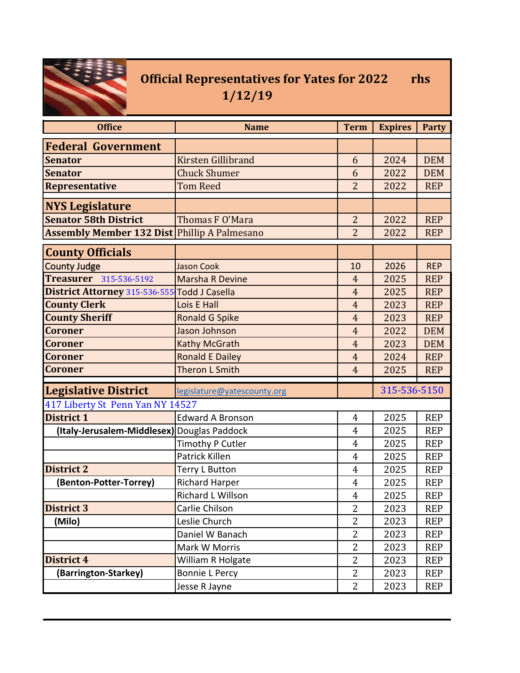

## **Official Representatives for Yates for 2022 rhs 1/12/19**

| <b>Office</b>                                       | <b>Name</b>                 | <b>Term</b>    | <b>Expires</b> | <b>Party</b> |
|-----------------------------------------------------|-----------------------------|----------------|----------------|--------------|
| <b>Federal Government</b>                           |                             |                |                |              |
| <b>Senator</b>                                      | <b>Kirsten Gillibrand</b>   | 6              | 2024           | <b>DEM</b>   |
| <b>Senator</b>                                      | <b>Chuck Shumer</b>         | 6              | 2022           | <b>DEM</b>   |
| <b>Representative</b>                               | <b>Tom Reed</b>             | $\overline{2}$ | 2022           | <b>REP</b>   |
| <b>NYS Legislature</b>                              |                             |                |                |              |
| <b>Senator 58th District</b>                        | Thomas F O'Mara             | $\overline{2}$ | 2022           | <b>REP</b>   |
| <b>Assembly Member 132 Dist Phillip A Palmesano</b> |                             | $\overline{2}$ | 2022           | <b>REP</b>   |
| <b>County Officials</b>                             |                             |                |                |              |
| <b>County Judge</b>                                 | <b>Jason Cook</b>           | 10             | 2026           | <b>REP</b>   |
| <b>Treasurer</b> 315-536-5192                       | <b>Marsha R Devine</b>      | $\overline{4}$ | 2025           | <b>REP</b>   |
| District Attorney 315-536-555 Todd J Casella        |                             | $\overline{4}$ | 2025           | <b>REP</b>   |
| <b>County Clerk</b>                                 | Lois E Hall                 | $\overline{4}$ | 2023           | <b>REP</b>   |
| <b>County Sheriff</b>                               | <b>Ronald G Spike</b>       | $\overline{4}$ | 2023           | <b>REP</b>   |
| <b>Coroner</b>                                      | Jason Johnson               | $\overline{4}$ | 2022           | <b>DEM</b>   |
| <b>Coroner</b>                                      | <b>Kathy McGrath</b>        | $\overline{4}$ | 2023           | <b>DEM</b>   |
| <b>Coroner</b>                                      | <b>Ronald E Dailey</b>      | $\overline{4}$ | 2024           | <b>REP</b>   |
| <b>Coroner</b>                                      | <b>Theron L Smith</b>       | $\overline{4}$ | 2025           | <b>REP</b>   |
| <b>Legislative District</b>                         | legislature@yatescounty.org |                | 315-536-5150   |              |
| 417 Liberty St Penn Yan NY 14527                    |                             |                |                |              |
| <b>District 1</b>                                   | <b>Edward A Bronson</b>     | $\overline{4}$ | 2025           | <b>REP</b>   |
| (Italy-Jerusalem-Middlesex) Douglas Paddock         |                             | 4              | 2025           | <b>REP</b>   |
|                                                     | Timothy P Cutler            | 4              | 2025           | <b>REP</b>   |
|                                                     | Patrick Killen              | 4              | 2025           | <b>REP</b>   |
| <b>District 2</b>                                   | Terry L Button              | $\overline{4}$ | 2025           | <b>REP</b>   |
| (Benton-Potter-Torrey)                              | <b>Richard Harper</b>       | 4              | 2025           | <b>REP</b>   |
|                                                     | Richard L Willson           | $\overline{4}$ | 2025           | <b>REP</b>   |
| <b>District 3</b>                                   | Carlie Chilson              | $\overline{2}$ | 2023           | <b>REP</b>   |
| (Milo)                                              | Leslie Church               | $\overline{2}$ | 2023           | <b>REP</b>   |
|                                                     | Daniel W Banach             | $\overline{2}$ | 2023           | <b>REP</b>   |
|                                                     | Mark W Morris               | $\overline{2}$ | 2023           | <b>REP</b>   |
| District 4                                          | William R Holgate           | $\overline{2}$ | 2023           | <b>REP</b>   |
| (Barrington-Starkey)                                | <b>Bonnie L Percy</b>       | $\overline{2}$ | 2023           | <b>REP</b>   |
|                                                     | Jesse R Jayne               | $\overline{2}$ | 2023           | <b>REP</b>   |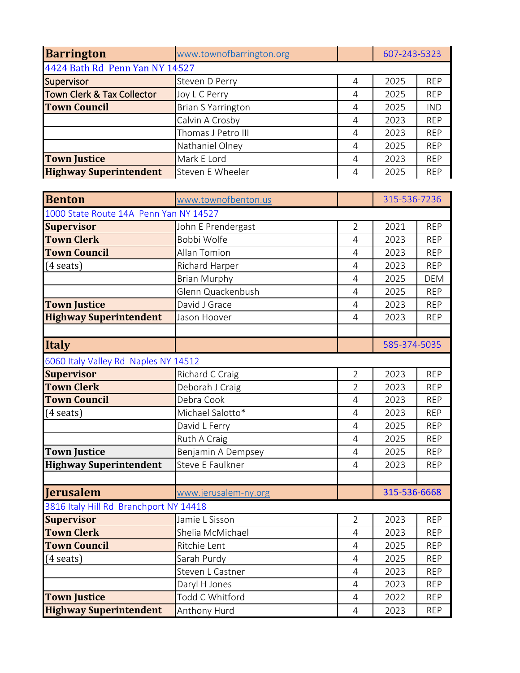| <b>Barrington</b>                                    | www.townofbarrington.org  |                | 607-243-5323 |            |
|------------------------------------------------------|---------------------------|----------------|--------------|------------|
| 4424 Bath Rd Penn Yan NY 14527                       |                           |                |              |            |
| Supervisor                                           | Steven D Perry            | 4              | 2025         | <b>REP</b> |
| <b>Town Clerk &amp; Tax Collector</b>                | Joy L C Perry             | 4              | 2025         | <b>REP</b> |
| <b>Town Council</b>                                  | <b>Brian S Yarrington</b> | 4              | 2025         | <b>IND</b> |
|                                                      | Calvin A Crosby           | 4              | 2023         | <b>REP</b> |
|                                                      | Thomas J Petro III        | 4              | 2023         | <b>REP</b> |
|                                                      | Nathaniel Olney           | 4              | 2025         | <b>REP</b> |
| <b>Town Justice</b>                                  | Mark E Lord               | 4              | 2023         | <b>REP</b> |
| <b>Highway Superintendent</b>                        | Steven E Wheeler          | 4              | 2025         | <b>REP</b> |
| <b>Benton</b>                                        | www.townofbenton.us       |                | 315-536-7236 |            |
| 1000 State Route 14A Penn Yan NY 14527               |                           |                |              |            |
| <b>Supervisor</b>                                    | John E Prendergast        | $\overline{2}$ | 2021         | <b>REP</b> |
| <b>Town Clerk</b>                                    | Bobbi Wolfe               | 4              | 2023         | <b>REP</b> |
| <b>Town Council</b>                                  | Allan Tomion              | 4              | 2023         | <b>REP</b> |
| $(4$ seats)                                          | Richard Harper            | 4              | 2023         | <b>REP</b> |
|                                                      | <b>Brian Murphy</b>       | 4              | 2025         | <b>DEM</b> |
|                                                      | Glenn Quackenbush         | 4              | 2025         | <b>REP</b> |
| <b>Town Justice</b>                                  | David J Grace             | 4              | 2023         | <b>REP</b> |
| <b>Highway Superintendent</b>                        | Jason Hoover              | 4              | 2023         | <b>REP</b> |
|                                                      |                           |                |              |            |
|                                                      |                           |                |              |            |
| <b>Italy</b>                                         |                           |                | 585-374-5035 |            |
| 6060 Italy Valley Rd Naples NY 14512                 |                           |                |              |            |
| <b>Supervisor</b>                                    | Richard C Craig           | $\overline{2}$ | 2023         | <b>REP</b> |
| <b>Town Clerk</b>                                    | Deborah J Craig           | $\overline{2}$ | 2023         | <b>REP</b> |
| <b>Town Council</b>                                  | Debra Cook                | 4              | 2023         | <b>REP</b> |
| $(4 \text{ seats})$                                  | Michael Salotto*          | 4              | 2023         | <b>REP</b> |
|                                                      | David L Ferry             | $\overline{4}$ | 2025         | <b>REP</b> |
|                                                      | Ruth A Craig              | 4              | 2025         | <b>REP</b> |
| <b>Town Justice</b>                                  | Benjamin A Dempsey        | 4              | 2025         | <b>REP</b> |
| <b>Highway Superintendent</b>                        | Steve E Faulkner          | 4              | 2023         | <b>REP</b> |
|                                                      |                           |                |              |            |
| Jerusalem                                            | www.jerusalem-ny.org      |                | 315-536-6668 |            |
| 3816 Italy Hill Rd Branchport NY 14418               |                           |                |              |            |
| <b>Supervisor</b>                                    | Jamie L Sisson            | $\overline{2}$ | 2023         | <b>REP</b> |
| <b>Town Clerk</b>                                    | Shelia McMichael          | 4              | 2023         | <b>REP</b> |
| <b>Town Council</b>                                  | Ritchie Lent              | 4              | 2025         | <b>REP</b> |
| $(4 \text{ seats})$                                  | Sarah Purdy               | 4              | 2025         | <b>REP</b> |
|                                                      | Steven L Castner          | 4              | 2023         | <b>REP</b> |
|                                                      | Daryl H Jones             | 4              | 2023         | <b>REP</b> |
| <b>Town Justice</b><br><b>Highway Superintendent</b> | Todd C Whitford           | 4              | 2022         | <b>REP</b> |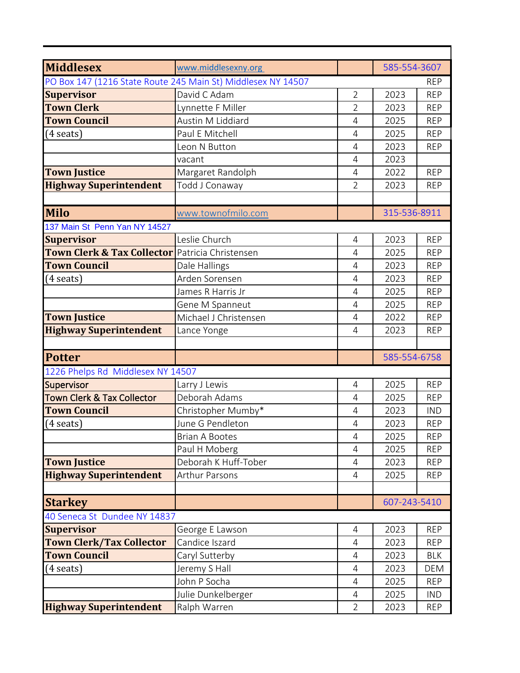| <b>Middlesex</b>                                           | www.middlesexny.org                                          |                | 585-554-3607 |            |
|------------------------------------------------------------|--------------------------------------------------------------|----------------|--------------|------------|
|                                                            | PO Box 147 (1216 State Route 245 Main St) Middlesex NY 14507 |                |              | REP        |
| <b>Supervisor</b>                                          | David C Adam                                                 | $\overline{2}$ | 2023         | <b>REP</b> |
| <b>Town Clerk</b>                                          | Lynnette F Miller                                            | $\overline{2}$ | 2023         | <b>REP</b> |
| <b>Town Council</b>                                        | Austin M Liddiard                                            | $\overline{4}$ | 2025         | <b>REP</b> |
| (4 seats)                                                  | Paul E Mitchell                                              | $\overline{4}$ | 2025         | <b>REP</b> |
|                                                            | Leon N Button                                                | $\overline{4}$ | 2023         | <b>REP</b> |
|                                                            | vacant                                                       | 4              | 2023         |            |
| <b>Town Justice</b>                                        | Margaret Randolph                                            | 4              | 2022         | <b>REP</b> |
| <b>Highway Superintendent</b>                              | Todd J Conaway                                               | $\overline{2}$ | 2023         | <b>REP</b> |
|                                                            |                                                              |                |              |            |
| <b>Milo</b>                                                | www.townofmilo.com                                           |                | 315-536-8911 |            |
| 137 Main St Penn Yan NY 14527                              |                                                              |                |              |            |
| <b>Supervisor</b>                                          | Leslie Church                                                | 4              | 2023         | <b>REP</b> |
| <b>Town Clerk &amp; Tax Collector</b> Patricia Christensen |                                                              | 4              | 2025         | <b>REP</b> |
| <b>Town Council</b>                                        | Dale Hallings                                                | 4              | 2023         | <b>REP</b> |
| (4 seats)                                                  | Arden Sorensen                                               | $\overline{4}$ | 2023         | <b>REP</b> |
|                                                            | James R Harris Jr                                            | $\overline{4}$ | 2025         | <b>REP</b> |
|                                                            | Gene M Spanneut                                              | 4              | 2025         | <b>REP</b> |
| <b>Town Justice</b>                                        | Michael J Christensen                                        | 4              | 2022         | <b>REP</b> |
| <b>Highway Superintendent</b>                              | Lance Yonge                                                  | 4              | 2023         | <b>REP</b> |
|                                                            |                                                              |                |              |            |
| <b>Potter</b>                                              |                                                              |                | 585-554-6758 |            |
| 1226 Phelps Rd Middlesex NY 14507                          |                                                              |                |              |            |
| Supervisor                                                 | Larry J Lewis                                                | 4              | 2025         | <b>REP</b> |
| <b>Town Clerk &amp; Tax Collector</b>                      | Deborah Adams                                                | 4              | 2025         | <b>REP</b> |
| <b>Town Council</b>                                        | Christopher Mumby*                                           | 4              | 2023         | <b>IND</b> |
| $(4 \text{ seats})$                                        | June G Pendleton                                             | 4              | 2023         | <b>REP</b> |
|                                                            | <b>Brian A Bootes</b>                                        | 4              | 2025         | <b>REP</b> |
|                                                            | Paul H Moberg                                                | 4              | 2025         | <b>REP</b> |
| <b>Town Justice</b>                                        | Deborah K Huff-Tober                                         | 4              | 2023         | <b>REP</b> |
| <b>Highway Superintendent</b>                              | <b>Arthur Parsons</b>                                        | $\overline{4}$ | 2025         | <b>REP</b> |
|                                                            |                                                              |                |              |            |
| <b>Starkey</b>                                             |                                                              |                | 607-243-5410 |            |
| 40 Seneca St Dundee NY 14837                               |                                                              |                |              |            |
| <b>Supervisor</b>                                          | George E Lawson                                              | $\overline{4}$ | 2023         | <b>REP</b> |
| <b>Town Clerk/Tax Collector</b>                            | Candice Iszard                                               | 4              | 2023         | <b>REP</b> |
| <b>Town Council</b>                                        | Caryl Sutterby                                               | 4              | 2023         | <b>BLK</b> |
| (4 seats)                                                  | Jeremy S Hall                                                | 4              | 2023         | DEM        |
|                                                            | John P Socha                                                 | 4              | 2025         | <b>REP</b> |
|                                                            | Julie Dunkelberger                                           | 4              | 2025         | <b>IND</b> |
| <b>Highway Superintendent</b>                              | Ralph Warren                                                 | $\overline{2}$ | 2023         | <b>REP</b> |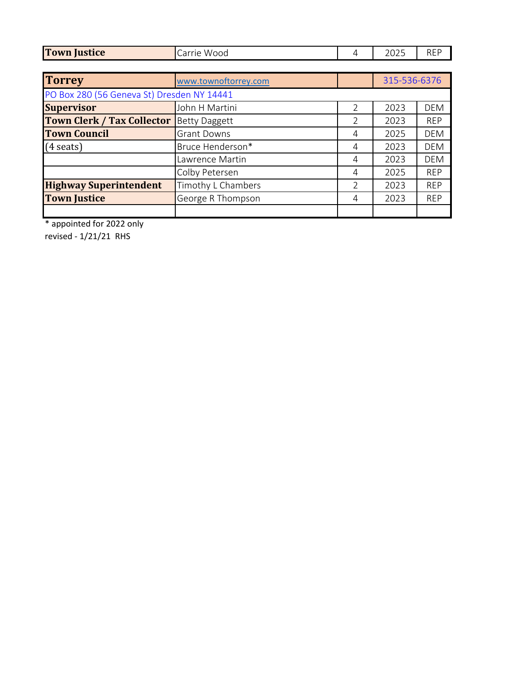| <b>Town Justice</b>                        | Carrie Wood          | 4 | 2025         | <b>REP</b> |
|--------------------------------------------|----------------------|---|--------------|------------|
|                                            |                      |   |              |            |
| <b>Torrey</b>                              | www.townoftorrey.com |   | 315-536-6376 |            |
| PO Box 280 (56 Geneva St) Dresden NY 14441 |                      |   |              |            |
| <b>Supervisor</b>                          | John H Martini       | 2 | 2023         | <b>DEM</b> |
| <b>Town Clerk / Tax Collector</b>          | <b>Betty Daggett</b> | 2 | 2023         | <b>REP</b> |
| <b>Town Council</b>                        | <b>Grant Downs</b>   | 4 | 2025         | <b>DEM</b> |
| $(4 \text{ seats})$                        | Bruce Henderson*     | 4 | 2023         | <b>DEM</b> |
|                                            | Lawrence Martin      | 4 | 2023         | <b>DEM</b> |
|                                            | Colby Petersen       | 4 | 2025         | <b>REP</b> |
| <b>Highway Superintendent</b>              | Timothy L Chambers   | C | 2023         | <b>REP</b> |
| <b>Town Justice</b>                        | George R Thompson    | 4 | 2023         | <b>REP</b> |
|                                            |                      |   |              |            |

\* appointed for 2022 only

revised - 1/21/21 RHS